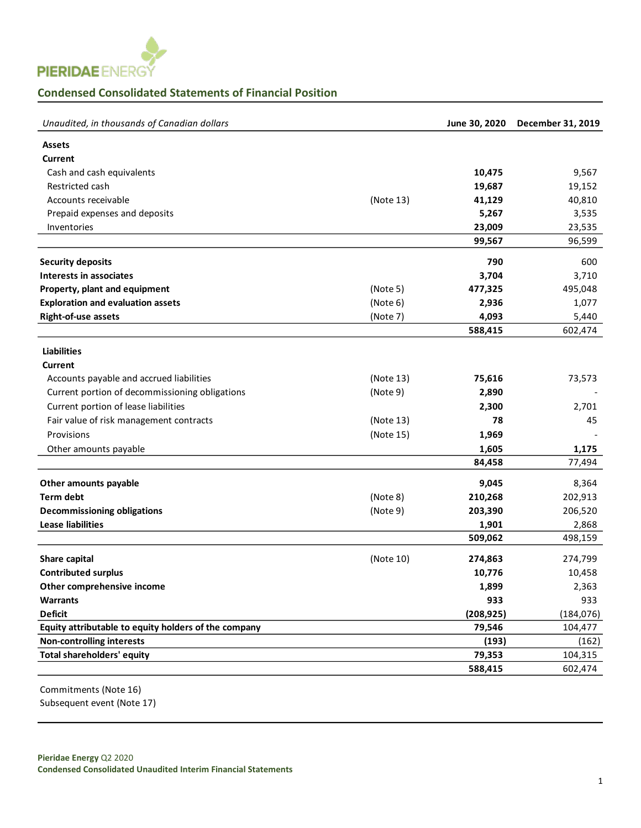

## **Condensed Consolidated Statements of Financial Position**

| Unaudited, in thousands of Canadian dollars          |           | June 30, 2020 | December 31, 2019 |
|------------------------------------------------------|-----------|---------------|-------------------|
| <b>Assets</b>                                        |           |               |                   |
| Current                                              |           |               |                   |
| Cash and cash equivalents                            |           | 10,475        | 9,567             |
| Restricted cash                                      |           | 19,687        | 19,152            |
| Accounts receivable                                  | (Note 13) | 41,129        | 40,810            |
| Prepaid expenses and deposits                        |           | 5,267         | 3,535             |
| Inventories                                          |           | 23,009        | 23,535            |
|                                                      |           | 99,567        | 96,599            |
| <b>Security deposits</b>                             |           | 790           | 600               |
| Interests in associates                              |           | 3,704         | 3,710             |
| Property, plant and equipment                        | (Note 5)  | 477,325       | 495,048           |
| <b>Exploration and evaluation assets</b>             | (Note 6)  | 2,936         | 1,077             |
| Right-of-use assets                                  | (Note 7)  | 4,093         | 5,440             |
|                                                      |           | 588,415       | 602,474           |
|                                                      |           |               |                   |
| <b>Liabilities</b>                                   |           |               |                   |
| <b>Current</b>                                       |           |               |                   |
| Accounts payable and accrued liabilities             | (Note 13) | 75,616        | 73,573            |
| Current portion of decommissioning obligations       | (Note 9)  | 2,890         |                   |
| Current portion of lease liabilities                 |           | 2,300         | 2,701             |
| Fair value of risk management contracts              | (Note 13) | 78            | 45                |
| Provisions                                           | (Note 15) | 1,969         |                   |
| Other amounts payable                                |           | 1,605         | 1,175             |
|                                                      |           | 84,458        | 77,494            |
| Other amounts payable                                |           | 9,045         | 8,364             |
| <b>Term debt</b>                                     | (Note 8)  | 210,268       | 202,913           |
| <b>Decommissioning obligations</b>                   | (Note 9)  | 203,390       | 206,520           |
| <b>Lease liabilities</b>                             |           | 1,901         | 2,868             |
|                                                      |           | 509,062       | 498,159           |
| Share capital                                        | (Note 10) | 274,863       | 274,799           |
| <b>Contributed surplus</b>                           |           | 10,776        | 10,458            |
| Other comprehensive income                           |           | 1,899         | 2,363             |
| <b>Warrants</b>                                      |           | 933           | 933               |
| <b>Deficit</b>                                       |           | (208, 925)    | (184, 076)        |
| Equity attributable to equity holders of the company |           | 79,546        | 104,477           |
| <b>Non-controlling interests</b>                     |           | (193)         | (162)             |
| Total shareholders' equity                           |           | 79,353        | 104,315           |
|                                                      |           | 588,415       | 602,474           |

Commitments (Note 16) Subsequent event (Note 17)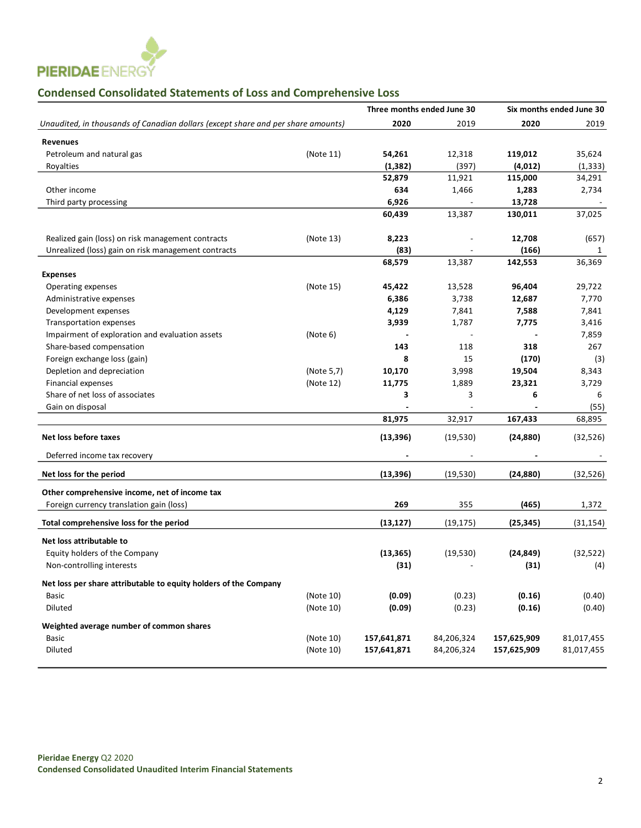

# **Condensed Consolidated Statements of Loss and Comprehensive Loss**

|                                                                                  |            | Three months ended June 30 |            |             | Six months ended June 30 |
|----------------------------------------------------------------------------------|------------|----------------------------|------------|-------------|--------------------------|
| Unaudited, in thousands of Canadian dollars (except share and per share amounts) |            | 2020                       | 2019       | 2020        | 2019                     |
| <b>Revenues</b>                                                                  |            |                            |            |             |                          |
| Petroleum and natural gas                                                        | (Note 11)  | 54,261                     | 12,318     | 119,012     | 35,624                   |
| Royalties                                                                        |            | (1, 382)                   | (397)      | (4, 012)    | (1, 333)                 |
|                                                                                  |            | 52,879                     | 11,921     | 115,000     | 34,291                   |
| Other income                                                                     |            | 634                        | 1,466      | 1,283       | 2,734                    |
| Third party processing                                                           |            | 6,926                      |            | 13,728      |                          |
|                                                                                  |            | 60,439                     | 13,387     | 130,011     | 37,025                   |
| Realized gain (loss) on risk management contracts                                | (Note 13)  | 8,223                      |            | 12,708      | (657)                    |
| Unrealized (loss) gain on risk management contracts                              |            | (83)                       |            | (166)       | 1                        |
|                                                                                  |            | 68,579                     | 13,387     | 142,553     | 36,369                   |
| <b>Expenses</b>                                                                  |            |                            |            |             |                          |
| Operating expenses                                                               | (Note 15)  | 45,422                     | 13,528     | 96,404      | 29,722                   |
| Administrative expenses                                                          |            | 6,386                      | 3,738      | 12,687      | 7,770                    |
| Development expenses                                                             |            | 4,129                      | 7,841      | 7,588       | 7,841                    |
| <b>Transportation expenses</b>                                                   |            | 3,939                      | 1,787      | 7,775       | 3,416                    |
| Impairment of exploration and evaluation assets                                  | (Note 6)   |                            |            |             | 7,859                    |
| Share-based compensation                                                         |            | 143                        | 118        | 318         | 267                      |
| Foreign exchange loss (gain)                                                     |            | 8                          | 15         | (170)       | (3)                      |
| Depletion and depreciation                                                       | (Note 5,7) | 10,170                     | 3,998      | 19,504      | 8,343                    |
| Financial expenses                                                               | (Note 12)  | 11,775                     | 1,889      | 23,321      | 3,729                    |
| Share of net loss of associates                                                  |            | 3                          | 3          | 6           | 6                        |
| Gain on disposal                                                                 |            |                            |            |             | (55)                     |
|                                                                                  |            | 81,975                     | 32,917     | 167,433     | 68,895                   |
| Net loss before taxes                                                            |            | (13, 396)                  | (19, 530)  | (24, 880)   | (32, 526)                |
| Deferred income tax recovery                                                     |            |                            |            |             |                          |
| Net loss for the period                                                          |            | (13, 396)                  | (19, 530)  | (24, 880)   | (32, 526)                |
| Other comprehensive income, net of income tax                                    |            |                            |            |             |                          |
| Foreign currency translation gain (loss)                                         |            | 269                        | 355        | (465)       | 1,372                    |
| Total comprehensive loss for the period                                          |            | (13, 127)                  | (19, 175)  | (25, 345)   | (31, 154)                |
| Net loss attributable to                                                         |            |                            |            |             |                          |
| Equity holders of the Company                                                    |            | (13, 365)                  | (19, 530)  | (24, 849)   | (32, 522)                |
| Non-controlling interests                                                        |            | (31)                       |            | (31)        | (4)                      |
| Net loss per share attributable to equity holders of the Company                 |            |                            |            |             |                          |
| <b>Basic</b>                                                                     | (Note 10)  | (0.09)                     | (0.23)     | (0.16)      | (0.40)                   |
| Diluted                                                                          | (Note 10)  | (0.09)                     | (0.23)     | (0.16)      | (0.40)                   |
| Weighted average number of common shares                                         |            |                            |            |             |                          |
| Basic                                                                            | (Note 10)  | 157,641,871                | 84,206,324 | 157,625,909 | 81,017,455               |
| Diluted                                                                          | (Note 10)  | 157,641,871                | 84,206,324 | 157,625,909 | 81,017,455               |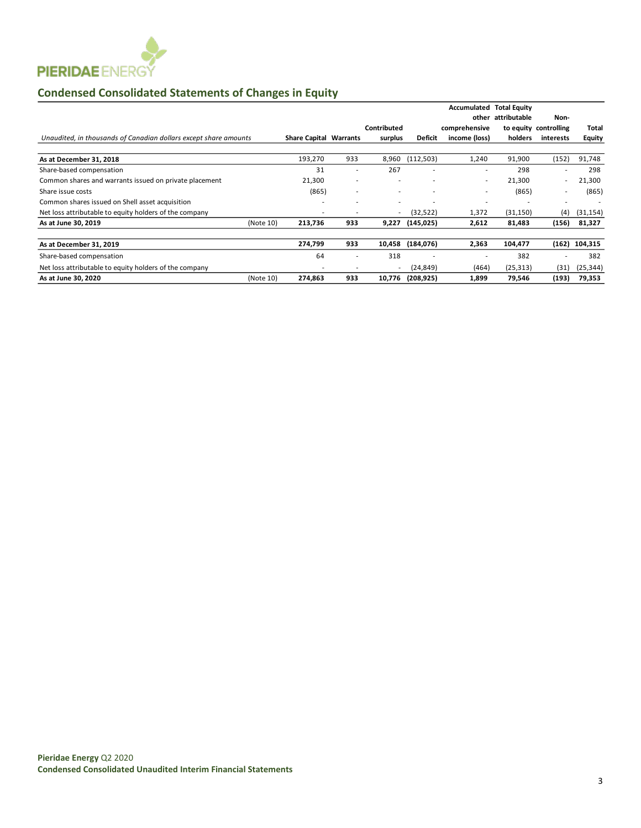

# **Condensed Consolidated Statements of Changes in Equity**

|                                                                  |           |                               |                          |             |                | Accumulated<br>other | <b>Total Equity</b><br>attributable |                               |                 |
|------------------------------------------------------------------|-----------|-------------------------------|--------------------------|-------------|----------------|----------------------|-------------------------------------|-------------------------------|-----------------|
|                                                                  |           |                               |                          | Contributed |                | comprehensive        |                                     | Non-<br>to equity controlling | Total           |
| Unaudited, in thousands of Canadian dollars except share amounts |           | <b>Share Capital Warrants</b> |                          | surplus     | <b>Deficit</b> | income (loss)        | holders                             | interests                     | <b>Equity</b>   |
| As at December 31, 2018                                          |           | 193,270                       | 933                      | 8,960       | (112,503)      | 1,240                | 91,900                              | (152)                         | 91,748          |
| Share-based compensation                                         |           | 31                            | ٠                        | 267         |                | ٠                    | 298                                 | $\overline{\phantom{a}}$      | 298             |
| Common shares and warrants issued on private placement           |           | 21,300                        | $\overline{\phantom{a}}$ | ٠           | ٠              | ٠                    | 21,300                              |                               | 21,300          |
| Share issue costs                                                |           | (865)                         | $\overline{\phantom{a}}$ | ۰           | ٠              | ٠                    | (865)                               | $\overline{\phantom{a}}$      | (865)           |
| Common shares issued on Shell asset acquisition                  |           |                               |                          |             |                |                      |                                     |                               |                 |
| Net loss attributable to equity holders of the company           |           |                               |                          |             | (32, 522)      | 1,372                | (31, 150)                           | (4)                           | (31, 154)       |
| As at June 30, 2019                                              | (Note 10) | 213,736                       | 933                      | 9,227       | (145, 025)     | 2,612                | 81,483                              | (156)                         | 81,327          |
| As at December 31, 2019                                          |           | 274,799                       | 933                      | 10,458      | (184, 076)     | 2,363                | 104,477                             |                               | $(162)$ 104,315 |
| Share-based compensation                                         |           | 64                            | ۰                        | 318         |                |                      | 382                                 |                               | 382             |
| Net loss attributable to equity holders of the company           |           | ۰                             |                          |             | (24, 849)      | (464)                | (25, 313)                           | (31)                          | (25, 344)       |
| As at June 30, 2020                                              | (Note 10) | 274,863                       | 933                      | 10,776      | (208, 925)     | 1,899                | 79,546                              | (193)                         | 79,353          |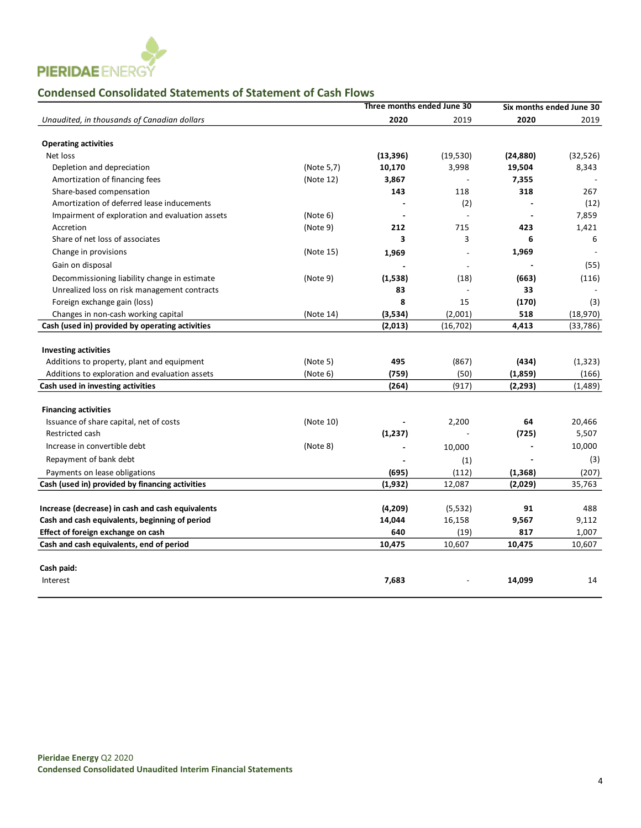

## **Condensed Consolidated Statements of Statement of Cash Flows**

|                                                            |            | Three months ended June 30 |                |           | Six months ended June 30 |
|------------------------------------------------------------|------------|----------------------------|----------------|-----------|--------------------------|
| Unaudited, in thousands of Canadian dollars                |            | 2020                       | 2019           | 2020      | 2019                     |
|                                                            |            |                            |                |           |                          |
| <b>Operating activities</b>                                |            |                            |                |           |                          |
| Net loss                                                   |            | (13, 396)                  | (19, 530)      | (24, 880) | (32,526)                 |
| Depletion and depreciation                                 | (Note 5,7) | 10,170                     | 3,998          | 19,504    | 8,343                    |
| Amortization of financing fees                             | (Note 12)  | 3,867                      |                | 7,355     |                          |
| Share-based compensation                                   |            | 143                        | 118            | 318       | 267                      |
| Amortization of deferred lease inducements                 |            |                            | (2)            |           | (12)                     |
| Impairment of exploration and evaluation assets            | (Note 6)   |                            |                |           | 7,859                    |
| Accretion                                                  | (Note 9)   | 212                        | 715            | 423       | 1,421                    |
| Share of net loss of associates                            |            | 3                          | 3              | 6         | 6                        |
| Change in provisions                                       | (Note 15)  | 1,969                      |                | 1,969     |                          |
| Gain on disposal                                           |            |                            | $\blacksquare$ |           | (55)                     |
| Decommissioning liability change in estimate               | (Note 9)   | (1,538)                    | (18)           | (663)     | (116)                    |
| Unrealized loss on risk management contracts               |            | 83                         |                | 33        |                          |
| Foreign exchange gain (loss)                               |            | 8                          | 15             | (170)     | (3)                      |
| Changes in non-cash working capital                        | (Note 14)  | (3,534)                    | (2,001)        | 518       | (18,970)                 |
| Cash (used in) provided by operating activities            |            | (2,013)                    | (16, 702)      | 4,413     | (33, 786)                |
|                                                            |            |                            |                |           |                          |
| <b>Investing activities</b>                                |            |                            |                |           |                          |
| Additions to property, plant and equipment                 | (Note 5)   | 495                        | (867)          | (434)     | (1, 323)                 |
| Additions to exploration and evaluation assets             | (Note 6)   | (759)                      | (50)           | (1,859)   | (166)                    |
| Cash used in investing activities                          |            | (264)                      | (917)          | (2, 293)  | (1,489)                  |
|                                                            |            |                            |                |           |                          |
| <b>Financing activities</b>                                |            |                            |                |           |                          |
| Issuance of share capital, net of costs<br>Restricted cash | (Note 10)  |                            | 2,200          | 64        | 20,466                   |
|                                                            |            | (1, 237)                   |                | (725)     | 5,507                    |
| Increase in convertible debt                               | (Note 8)   |                            | 10,000         |           | 10,000                   |
| Repayment of bank debt                                     |            |                            | (1)            |           | (3)                      |
| Payments on lease obligations                              |            | (695)                      | (112)          | (1, 368)  | (207)                    |
| Cash (used in) provided by financing activities            |            | (1, 932)                   | 12,087         | (2,029)   | 35,763                   |
| Increase (decrease) in cash and cash equivalents           |            | (4,209)                    | (5, 532)       | 91        | 488                      |
| Cash and cash equivalents, beginning of period             |            | 14,044                     | 16,158         | 9,567     | 9,112                    |
| Effect of foreign exchange on cash                         |            | 640                        | (19)           | 817       | 1,007                    |
| Cash and cash equivalents, end of period                   |            | 10,475                     | 10,607         | 10,475    | 10,607                   |
|                                                            |            |                            |                |           |                          |
| Cash paid:                                                 |            |                            |                |           |                          |
| Interest                                                   |            | 7,683                      |                | 14,099    | 14                       |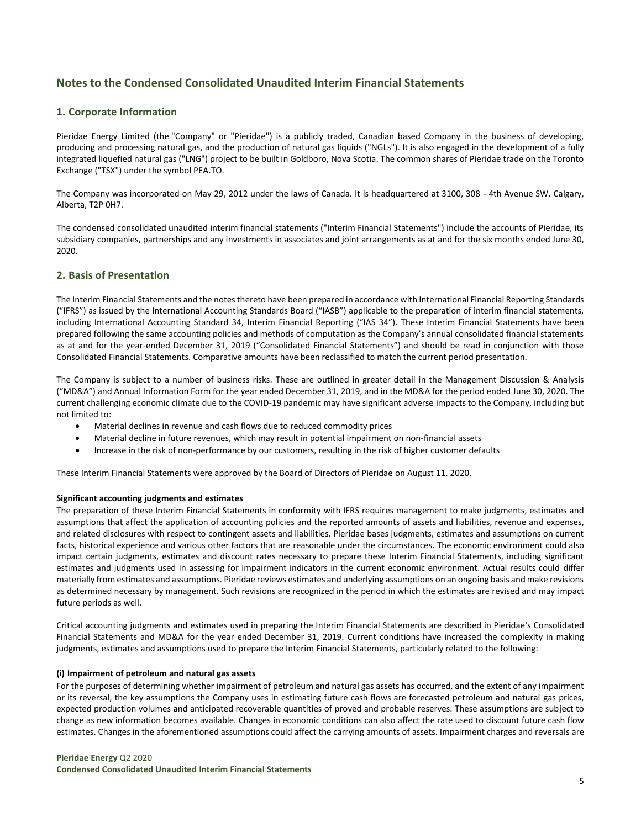## **Notes to the Condensed Consolidated Unaudited Interim Financial Statements**

## **1. Corporate Information**

Pieridae Energy Limited (the "Company" or "Pieridae") is a publicly traded, Canadian based Company in the business of developing, producing and processing natural gas, and the production of natural gas liquids ("NGLs"). It is also engaged in the development of a fully integrated liquefied natural gas ("LNG") project to be built in Goldboro, Nova Scotia. The common shares of Pieridae trade on the Toronto Exchange ("TSX") under the symbol PEA.TO.

The Company was incorporated on May 29, 2012 under the laws of Canada. It is headquartered at 3100, 308 - 4th Avenue SW, Calgary, Alberta, T2P 0H7.

The condensed consolidated unaudited interim financial statements ("Interim Financial Statements") include the accounts of Pieridae, its subsidiary companies, partnerships and any investments in associates and joint arrangements as at and for the six months ended June 30, 2020.

#### **2. Basis of Presentation**

The Interim Financial Statements and the notes thereto have been prepared in accordance with International Financial Reporting Standards ("IFRS") as issued by the International Accounting Standards Board ("IASB") applicable to the preparation of interim financial statements, including International Accounting Standard 34, Interim Financial Reporting ("IAS 34"). These Interim Financial Statements have been prepared following the same accounting policies and methods of computation as the Company's annual consolidated financial statements as at and for the year-ended December 31, 2019 ("Consolidated Financial Statements") and should be read in conjunction with those Consolidated Financial Statements. Comparative amounts have been reclassified to match the current period presentation.

The Company is subject to a number of business risks. These are outlined in greater detail in the Management Discussion & Analysis ("MD&A") and Annual Information Form for the year ended December 31, 2019, and in the MD&A for the period ended June 30, 2020. The current challenging economic climate due to the COVID-19 pandemic may have significant adverse impacts to the Company, including but not limited to:

- Material declines in revenue and cash flows due to reduced commodity prices
- Material decline in future revenues, which may result in potential impairment on non-financial assets
- Increase in the risk of non-performance by our customers, resulting in the risk of higher customer defaults

These Interim Financial Statements were approved by the Board of Directors of Pieridae on August 11, 2020.

#### **Significant accounting judgments and estimates**

The preparation of these Interim Financial Statements in conformity with IFRS requires management to make judgments, estimates and assumptions that affect the application of accounting policies and the reported amounts of assets and liabilities, revenue and expenses, and related disclosures with respect to contingent assets and liabilities. Pieridae bases judgments, estimates and assumptions on current facts, historical experience and various other factors that are reasonable under the circumstances. The economic environment could also impact certain judgments, estimates and discount rates necessary to prepare these Interim Financial Statements, including significant estimates and judgments used in assessing for impairment indicators in the current economic environment. Actual results could differ materially from estimates and assumptions. Pieridae reviews estimates and underlying assumptions on an ongoing basis and make revisions as determined necessary by management. Such revisions are recognized in the period in which the estimates are revised and may impact future periods as well.

Critical accounting judgments and estimates used in preparing the Interim Financial Statements are described in Pieridae's Consolidated Financial Statements and MD&A for the year ended December 31, 2019. Current conditions have increased the complexity in making judgments, estimates and assumptions used to prepare the Interim Financial Statements, particularly related to the following:

#### **(i) Impairment of petroleum and natural gas assets**

For the purposes of determining whether impairment of petroleum and natural gas assets has occurred, and the extent of any impairment or its reversal, the key assumptions the Company uses in estimating future cash flows are forecasted petroleum and natural gas prices, expected production volumes and anticipated recoverable quantities of proved and probable reserves. These assumptions are subject to change as new information becomes available. Changes in economic conditions can also affect the rate used to discount future cash flow estimates. Changes in the aforementioned assumptions could affect the carrying amounts of assets. Impairment charges and reversals are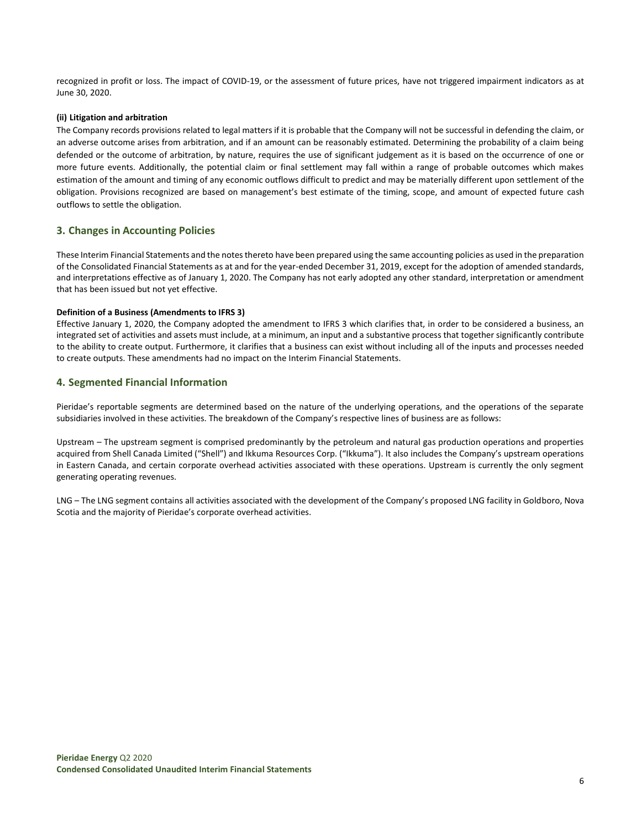recognized in profit or loss. The impact of COVID-19, or the assessment of future prices, have not triggered impairment indicators as at June 30, 2020.

#### **(ii) Litigation and arbitration**

The Company records provisions related to legal matters if it is probable that the Company will not be successful in defending the claim, or an adverse outcome arises from arbitration, and if an amount can be reasonably estimated. Determining the probability of a claim being defended or the outcome of arbitration, by nature, requires the use of significant judgement as it is based on the occurrence of one or more future events. Additionally, the potential claim or final settlement may fall within a range of probable outcomes which makes estimation of the amount and timing of any economic outflows difficult to predict and may be materially different upon settlement of the obligation. Provisions recognized are based on management's best estimate of the timing, scope, and amount of expected future cash outflows to settle the obligation.

## **3. Changes in Accounting Policies**

These Interim Financial Statements and the notes thereto have been prepared using the same accounting policies as used in the preparation of the Consolidated Financial Statements as at and for the year-ended December 31, 2019, except for the adoption of amended standards, and interpretations effective as of January 1, 2020. The Company has not early adopted any other standard, interpretation or amendment that has been issued but not yet effective.

#### **Definition of a Business (Amendments to IFRS 3)**

Effective January 1, 2020, the Company adopted the amendment to IFRS 3 which clarifies that, in order to be considered a business, an integrated set of activities and assets must include, at a minimum, an input and a substantive process that together significantly contribute to the ability to create output. Furthermore, it clarifies that a business can exist without including all of the inputs and processes needed to create outputs. These amendments had no impact on the Interim Financial Statements.

## **4. Segmented Financial Information**

Pieridae's reportable segments are determined based on the nature of the underlying operations, and the operations of the separate subsidiaries involved in these activities. The breakdown of the Company's respective lines of business are as follows:

Upstream – The upstream segment is comprised predominantly by the petroleum and natural gas production operations and properties acquired from Shell Canada Limited ("Shell") and Ikkuma Resources Corp. ("Ikkuma"). It also includes the Company's upstream operations in Eastern Canada, and certain corporate overhead activities associated with these operations. Upstream is currently the only segment generating operating revenues.

LNG – The LNG segment contains all activities associated with the development of the Company's proposed LNG facility in Goldboro, Nova Scotia and the majority of Pieridae's corporate overhead activities.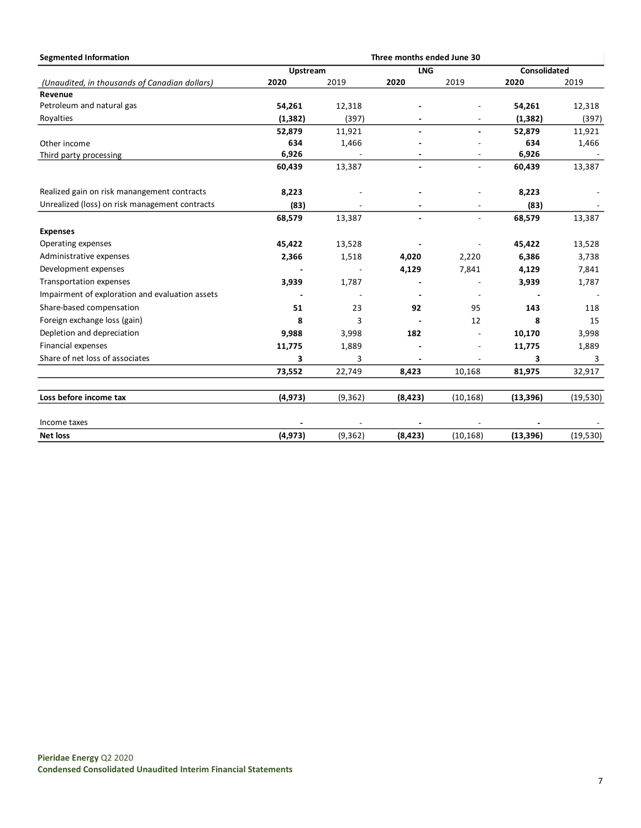| <b>Segmented Information</b>                    | Three months ended June 30 |          |            |                          |              |           |
|-------------------------------------------------|----------------------------|----------|------------|--------------------------|--------------|-----------|
|                                                 | Upstream                   |          | <b>LNG</b> |                          | Consolidated |           |
| (Unaudited, in thousands of Canadian dollars)   | 2020                       | 2019     | 2020       | 2019                     | 2020         | 2019      |
| Revenue                                         |                            |          |            |                          |              |           |
| Petroleum and natural gas                       | 54,261                     | 12,318   |            |                          | 54,261       | 12,318    |
| Royalties                                       | (1, 382)                   | (397)    |            | $\overline{a}$           | (1, 382)     | (397)     |
|                                                 | 52,879                     | 11,921   |            | $\blacksquare$           | 52,879       | 11,921    |
| Other income                                    | 634                        | 1,466    |            |                          | 634          | 1,466     |
| Third party processing                          | 6,926                      |          |            |                          | 6,926        |           |
|                                                 | 60,439                     | 13,387   |            | $\blacksquare$           | 60,439       | 13,387    |
| Realized gain on risk manangement contracts     | 8,223                      |          |            |                          | 8,223        |           |
| Unrealized (loss) on risk management contracts  | (83)                       |          |            | ٠                        | (83)         |           |
|                                                 | 68,579                     | 13,387   |            | $\overline{\phantom{a}}$ | 68,579       | 13,387    |
| <b>Expenses</b>                                 |                            |          |            |                          |              |           |
| Operating expenses                              | 45,422                     | 13,528   |            |                          | 45,422       | 13,528    |
| Administrative expenses                         | 2,366                      | 1,518    | 4,020      | 2,220                    | 6,386        | 3,738     |
| Development expenses                            |                            |          | 4,129      | 7,841                    | 4,129        | 7,841     |
| Transportation expenses                         | 3,939                      | 1,787    |            |                          | 3,939        | 1,787     |
| Impairment of exploration and evaluation assets |                            |          |            |                          |              |           |
| Share-based compensation                        | 51                         | 23       | 92         | 95                       | 143          | 118       |
| Foreign exchange loss (gain)                    | 8                          | 3        |            | 12                       | 8            | 15        |
| Depletion and depreciation                      | 9,988                      | 3,998    | 182        |                          | 10,170       | 3,998     |
| Financial expenses                              | 11,775                     | 1,889    |            | ٠                        | 11,775       | 1,889     |
| Share of net loss of associates                 | 3                          | 3        |            |                          | 3            | 3         |
|                                                 | 73,552                     | 22,749   | 8,423      | 10,168                   | 81,975       | 32,917    |
| Loss before income tax                          | (4, 973)                   | (9, 362) | (8, 423)   | (10, 168)                | (13, 396)    | (19, 530) |
| Income taxes                                    |                            |          |            |                          |              |           |
| <b>Net loss</b>                                 | (4, 973)                   | (9, 362) | (8, 423)   | (10, 168)                | (13, 396)    | (19, 530) |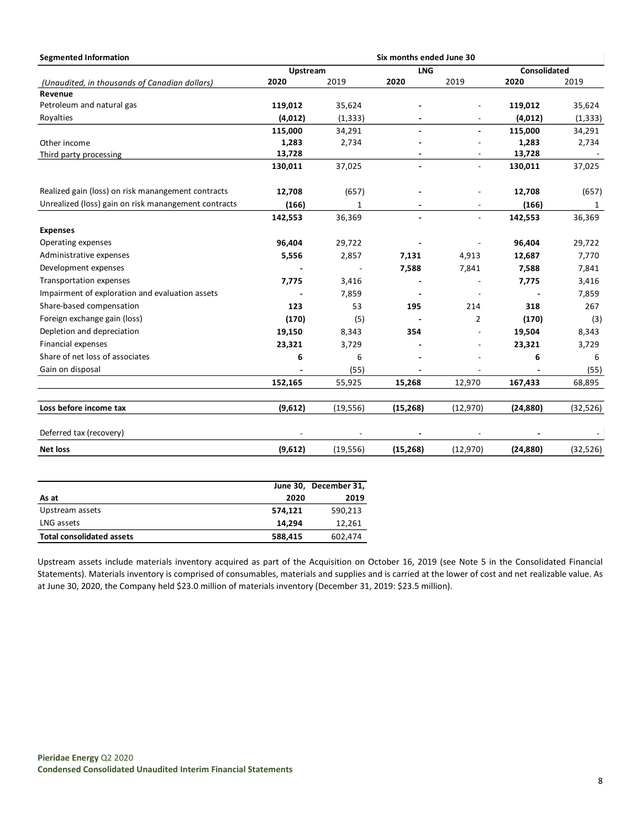| <b>Segmented Information</b>                         |          |           | Six months ended June 30 |                          |              |          |
|------------------------------------------------------|----------|-----------|--------------------------|--------------------------|--------------|----------|
|                                                      | Upstream |           | <b>LNG</b>               |                          | Consolidated |          |
| (Unaudited, in thousands of Canadian dollars)        | 2020     | 2019      | 2020                     | 2019                     | 2020         | 2019     |
| Revenue                                              |          |           |                          |                          |              |          |
| Petroleum and natural gas                            | 119,012  | 35,624    |                          |                          | 119,012      | 35,624   |
| Royalties                                            | (4,012)  | (1, 333)  |                          | $\overline{\phantom{a}}$ | (4,012)      | (1, 333) |
|                                                      | 115,000  | 34,291    | $\blacksquare$           | $\blacksquare$           | 115,000      | 34,291   |
| Other income                                         | 1,283    | 2,734     |                          |                          | 1,283        | 2,734    |
| Third party processing                               | 13,728   |           |                          |                          | 13,728       |          |
|                                                      | 130,011  | 37,025    | $\blacksquare$           | $\overline{\phantom{a}}$ | 130,011      | 37,025   |
| Realized gain (loss) on risk manangement contracts   | 12,708   | (657)     |                          |                          | 12,708       | (657)    |
| Unrealized (loss) gain on risk manangement contracts | (166)    | 1         |                          |                          | (166)        | 1        |
|                                                      | 142,553  | 36,369    | $\blacksquare$           | $\overline{\phantom{a}}$ | 142,553      | 36,369   |
| <b>Expenses</b>                                      |          |           |                          |                          |              |          |
| Operating expenses                                   | 96,404   | 29,722    |                          |                          | 96,404       | 29,722   |
| Administrative expenses                              | 5,556    | 2,857     | 7,131                    | 4,913                    | 12,687       | 7,770    |
| Development expenses                                 |          |           | 7,588                    | 7,841                    | 7,588        | 7,841    |
| <b>Transportation expenses</b>                       | 7,775    | 3,416     |                          |                          | 7,775        | 3,416    |
| Impairment of exploration and evaluation assets      |          | 7,859     |                          |                          |              | 7,859    |
| Share-based compensation                             | 123      | 53        | 195                      | 214                      | 318          | 267      |
| Foreign exchange gain (loss)                         | (170)    | (5)       |                          | $\overline{2}$           | (170)        | (3)      |
| Depletion and depreciation                           | 19,150   | 8,343     | 354                      |                          | 19,504       | 8,343    |
| Financial expenses                                   | 23,321   | 3,729     |                          |                          | 23,321       | 3,729    |
| Share of net loss of associates                      | 6        | 6         |                          |                          | 6            | 6        |
| Gain on disposal                                     |          | (55)      |                          | $\overline{\phantom{a}}$ |              | (55)     |
|                                                      | 152,165  | 55,925    | 15,268                   | 12,970                   | 167,433      | 68,895   |
| Loss before income tax                               | (9,612)  | (19, 556) | (15, 268)                | (12, 970)                | (24, 880)    | (32,526) |
| Deferred tax (recovery)                              |          |           |                          |                          |              |          |
| <b>Net loss</b>                                      | (9,612)  | (19, 556) | (15,268)                 | (12, 970)                | (24, 880)    | (32,526) |

|                                  |         | June 30, December 31, |
|----------------------------------|---------|-----------------------|
| As at                            | 2020    | 2019                  |
| Upstream assets                  | 574.121 | 590,213               |
| LNG assets                       | 14.294  | 12,261                |
| <b>Total consolidated assets</b> | 588,415 | 602,474               |

Upstream assets include materials inventory acquired as part of the Acquisition on October 16, 2019 (see Note 5 in the Consolidated Financial Statements). Materials inventory is comprised of consumables, materials and supplies and is carried at the lower of cost and net realizable value. As at June 30, 2020, the Company held \$23.0 million of materials inventory (December 31, 2019: \$23.5 million).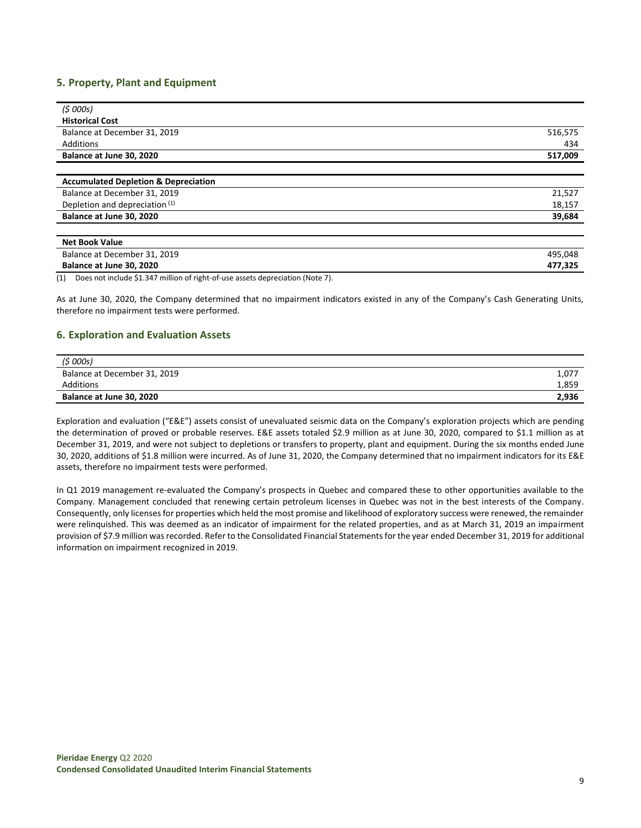## **5. Property, Plant and Equipment**

| (5000s)                                         |         |
|-------------------------------------------------|---------|
| <b>Historical Cost</b>                          |         |
| Balance at December 31, 2019                    | 516,575 |
| Additions                                       | 434     |
| Balance at June 30, 2020                        | 517,009 |
|                                                 |         |
| <b>Accumulated Depletion &amp; Depreciation</b> |         |
| Balance at December 31, 2019                    | 21,527  |
| Depletion and depreciation (1)                  | 18,157  |
| Balance at June 30, 2020                        | 39,684  |
|                                                 |         |
| <b>Net Book Value</b>                           |         |
| Balance at December 31, 2019                    | 495,048 |
| Balance at June 30, 2020                        | 477,325 |

(1) Does not include \$1.347 million of right-of-use assets depreciation (Note 7).

As at June 30, 2020, the Company determined that no impairment indicators existed in any of the Company's Cash Generating Units, therefore no impairment tests were performed.

#### **6. Exploration and Evaluation Assets**

| (\$ 000s)                    |       |
|------------------------------|-------|
| Balance at December 31, 2019 | 1,077 |
| Additions                    | 1,859 |
| Balance at June 30, 2020     | 2,936 |

Exploration and evaluation ("E&E") assets consist of unevaluated seismic data on the Company's exploration projects which are pending the determination of proved or probable reserves. E&E assets totaled \$2.9 million as at June 30, 2020, compared to \$1.1 million as at December 31, 2019, and were not subject to depletions or transfers to property, plant and equipment. During the six months ended June 30, 2020, additions of \$1.8 million were incurred. As of June 31, 2020, the Company determined that no impairment indicators for its E&E assets, therefore no impairment tests were performed.

In Q1 2019 management re-evaluated the Company's prospects in Quebec and compared these to other opportunities available to the Company. Management concluded that renewing certain petroleum licenses in Quebec was not in the best interests of the Company. Consequently, only licenses for properties which held the most promise and likelihood of exploratory success were renewed, the remainder were relinquished. This was deemed as an indicator of impairment for the related properties, and as at March 31, 2019 an impairment provision of \$7.9 million was recorded. Refer to the Consolidated Financial Statements for the year ended December 31, 2019 for additional information on impairment recognized in 2019.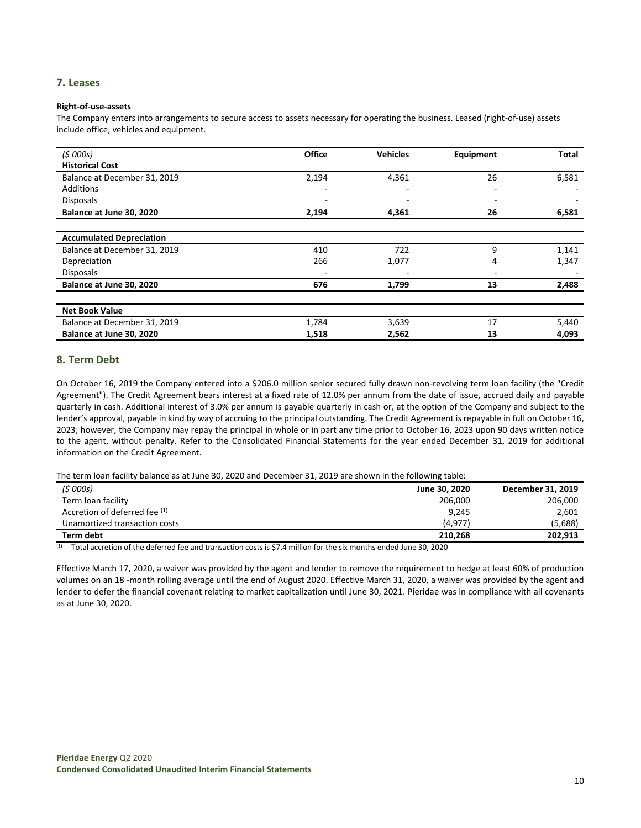## **7. Leases**

#### **Right-of-use-assets**

The Company enters into arrangements to secure access to assets necessary for operating the business. Leased (right-of-use) assets include office, vehicles and equipment.

| (5000s)                         | <b>Office</b> | <b>Vehicles</b> | Equipment | Total |
|---------------------------------|---------------|-----------------|-----------|-------|
| <b>Historical Cost</b>          |               |                 |           |       |
| Balance at December 31, 2019    | 2,194         | 4,361           | 26        | 6,581 |
| Additions                       | ٠             |                 | ٠         |       |
| <b>Disposals</b>                | ۰             |                 | ٠         |       |
| Balance at June 30, 2020        | 2,194         | 4,361           | 26        | 6,581 |
|                                 |               |                 |           |       |
| <b>Accumulated Depreciation</b> |               |                 |           |       |
| Balance at December 31, 2019    | 410           | 722             | 9         | 1,141 |
| Depreciation                    | 266           | 1,077           | 4         | 1,347 |
| <b>Disposals</b>                | -             |                 | ٠         |       |
| Balance at June 30, 2020        | 676           | 1,799           | 13        | 2,488 |
|                                 |               |                 |           |       |
| <b>Net Book Value</b>           |               |                 |           |       |
| Balance at December 31, 2019    | 1,784         | 3,639           | 17        | 5,440 |
| Balance at June 30, 2020        | 1,518         | 2,562           | 13        | 4,093 |

## **8. Term Debt**

On October 16, 2019 the Company entered into a \$206.0 million senior secured fully drawn non-revolving term loan facility (the "Credit Agreement"). The Credit Agreement bears interest at a fixed rate of 12.0% per annum from the date of issue, accrued daily and payable quarterly in cash. Additional interest of 3.0% per annum is payable quarterly in cash or, at the option of the Company and subject to the lender's approval, payable in kind by way of accruing to the principal outstanding. The Credit Agreement is repayable in full on October 16, 2023; however, the Company may repay the principal in whole or in part any time prior to October 16, 2023 upon 90 days written notice to the agent, without penalty. Refer to the Consolidated Financial Statements for the year ended December 31, 2019 for additional information on the Credit Agreement.

The term loan facility balance as at June 30, 2020 and December 31, 2019 are shown in the following table:

| (5000s)                       | June 30, 2020 | December 31, 2019 |
|-------------------------------|---------------|-------------------|
| Term loan facility            | 206,000       | 206,000           |
| Accretion of deferred fee (1) | 9,245         | 2,601             |
| Unamortized transaction costs | (4, 977)      | (5,688)           |
| Term debt                     | 210.268       | 202,913           |

 $(1)$  Total accretion of the deferred fee and transaction costs is \$7.4 million for the six months ended June 30, 2020

Effective March 17, 2020, a waiver was provided by the agent and lender to remove the requirement to hedge at least 60% of production volumes on an 18 -month rolling average until the end of August 2020. Effective March 31, 2020, a waiver was provided by the agent and lender to defer the financial covenant relating to market capitalization until June 30, 2021. Pieridae was in compliance with all covenants as at June 30, 2020.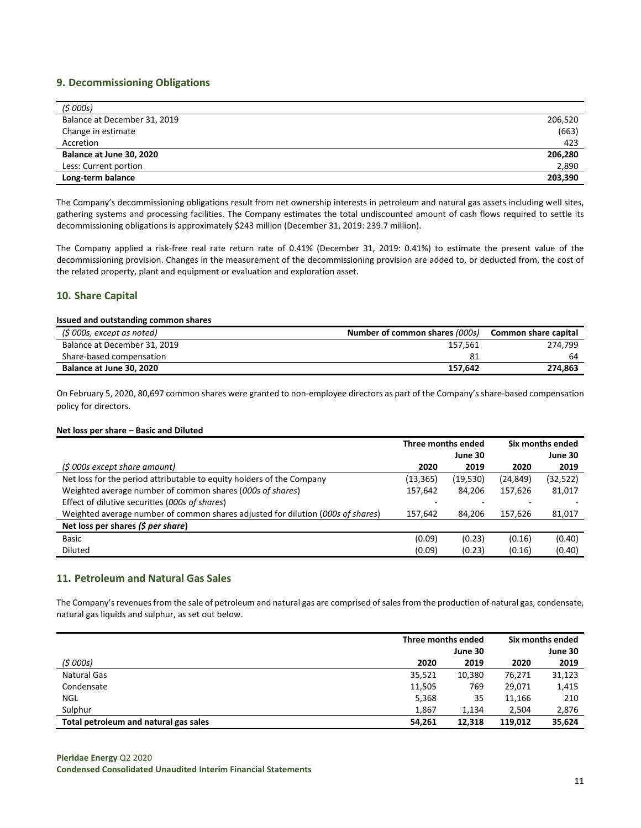## **9. Decommissioning Obligations**

| (5000s)                      |         |
|------------------------------|---------|
| Balance at December 31, 2019 | 206,520 |
| Change in estimate           | (663)   |
| Accretion                    | 423     |
| Balance at June 30, 2020     | 206,280 |
| Less: Current portion        | 2,890   |
| Long-term balance            | 203,390 |

The Company's decommissioning obligations result from net ownership interests in petroleum and natural gas assets including well sites, gathering systems and processing facilities. The Company estimates the total undiscounted amount of cash flows required to settle its decommissioning obligations is approximately \$243 million (December 31, 2019: 239.7 million).

The Company applied a risk-free real rate return rate of 0.41% (December 31, 2019: 0.41%) to estimate the present value of the decommissioning provision. Changes in the measurement of the decommissioning provision are added to, or deducted from, the cost of the related property, plant and equipment or evaluation and exploration asset.

## **10. Share Capital**

#### **Issued and outstanding common shares**

| (\$ 000s, except as noted)   | Number of common shares (000s) | Common share capital |
|------------------------------|--------------------------------|----------------------|
| Balance at December 31, 2019 | 157.561                        | 274.799              |
| Share-based compensation     | 81                             | 64                   |
| Balance at June 30, 2020     | 157.642                        | 274.863              |

On February 5, 2020, 80,697 common shares were granted to non-employee directors as part of the Company's share-based compensation policy for directors.

#### **Net loss per share – Basic and Diluted**

|                                                                                 | Three months ended |          | Six months ended |          |
|---------------------------------------------------------------------------------|--------------------|----------|------------------|----------|
|                                                                                 |                    | June 30  |                  | June 30  |
| (\$ 000s except share amount)                                                   | 2020               | 2019     | 2020             | 2019     |
| Net loss for the period attributable to equity holders of the Company           | (13,365)           | (19,530) | (24, 849)        | (32,522) |
| Weighted average number of common shares (000s of shares)                       | 157,642            | 84,206   | 157.626          | 81,017   |
| Effect of dilutive securities (000s of shares)                                  |                    |          |                  |          |
| Weighted average number of common shares adjusted for dilution (000s of shares) | 157.642            | 84.206   | 157.626          | 81,017   |
| Net loss per shares (\$ per share)                                              |                    |          |                  |          |
| <b>Basic</b>                                                                    | (0.09)             | (0.23)   | (0.16)           | (0.40)   |
| <b>Diluted</b>                                                                  | (0.09)             | (0.23)   | (0.16)           | (0.40)   |

## **11. Petroleum and Natural Gas Sales**

The Company's revenues from the sale of petroleum and natural gas are comprised of sales from the production of natural gas, condensate, natural gas liquids and sulphur, as set out below.

|                                       | Three months ended |         | Six months ended |         |
|---------------------------------------|--------------------|---------|------------------|---------|
|                                       |                    | June 30 |                  | June 30 |
| (5000s)                               | 2020               | 2019    | 2020             | 2019    |
| <b>Natural Gas</b>                    | 35,521             | 10,380  | 76,271           | 31,123  |
| Condensate                            | 11,505             | 769     | 29,071           | 1,415   |
| <b>NGL</b>                            | 5,368              | 35      | 11,166           | 210     |
| Sulphur                               | 1,867              | 1,134   | 2.504            | 2,876   |
| Total petroleum and natural gas sales | 54,261             | 12,318  | 119,012          | 35,624  |

**Pieridae Energy** Q2 2020 **Condensed Consolidated Unaudited Interim Financial Statements**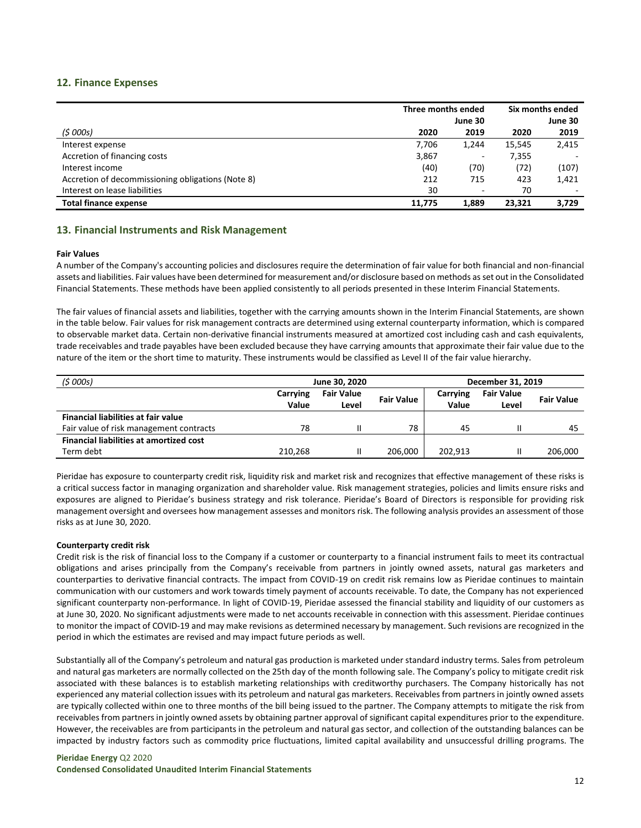## **12. Finance Expenses**

|                                                   | Three months ended |         | Six months ended |         |
|---------------------------------------------------|--------------------|---------|------------------|---------|
|                                                   |                    | June 30 |                  | June 30 |
| (5000s)                                           | 2020               | 2019    | 2020             | 2019    |
| Interest expense                                  | 7,706              | 1,244   | 15.545           | 2,415   |
| Accretion of financing costs                      | 3,867              | ٠       | 7,355            |         |
| Interest income                                   | (40)               | (70)    | (72)             | (107)   |
| Accretion of decommissioning obligations (Note 8) | 212                | 715     | 423              | 1,421   |
| Interest on lease liabilities                     | 30                 | ٠       | 70               |         |
| <b>Total finance expense</b>                      | 11.775             | 1,889   | 23.321           | 3,729   |

## **13. Financial Instruments and Risk Management**

#### **Fair Values**

A number of the Company's accounting policies and disclosures require the determination of fair value for both financial and non-financial assets and liabilities. Fair values have been determined for measurement and/or disclosure based on methods as set out in the Consolidated Financial Statements. These methods have been applied consistently to all periods presented in these Interim Financial Statements.

The fair values of financial assets and liabilities, together with the carrying amounts shown in the Interim Financial Statements, are shown in the table below. Fair values for risk management contracts are determined using external counterparty information, which is compared to observable market data. Certain non-derivative financial instruments measured at amortized cost including cash and cash equivalents, trade receivables and trade payables have been excluded because they have carrying amounts that approximate their fair value due to the nature of the item or the short time to maturity. These instruments would be classified as Level II of the fair value hierarchy.

| (5000s)                                        | December 31, 2019<br>June 30, 2020 |                   |                   |          |                   |                   |
|------------------------------------------------|------------------------------------|-------------------|-------------------|----------|-------------------|-------------------|
|                                                | Carrying                           | <b>Fair Value</b> | <b>Fair Value</b> | Carrying | <b>Fair Value</b> | <b>Fair Value</b> |
|                                                | Value                              | Level             |                   | Value    | Level             |                   |
| <b>Financial liabilities at fair value</b>     |                                    |                   |                   |          |                   |                   |
| Fair value of risk management contracts        | 78                                 |                   | 78                | 45       |                   | 45                |
| <b>Financial liabilities at amortized cost</b> |                                    |                   |                   |          |                   |                   |
| Term debt                                      | 210.268                            |                   | 206.000           | 202.913  | Ш                 | 206,000           |

Pieridae has exposure to counterparty credit risk, liquidity risk and market risk and recognizes that effective management of these risks is a critical success factor in managing organization and shareholder value. Risk management strategies, policies and limits ensure risks and exposures are aligned to Pieridae's business strategy and risk tolerance. Pieridae's Board of Directors is responsible for providing risk management oversight and oversees how management assesses and monitors risk. The following analysis provides an assessment of those risks as at June 30, 2020.

#### **Counterparty credit risk**

Credit risk is the risk of financial loss to the Company if a customer or counterparty to a financial instrument fails to meet its contractual obligations and arises principally from the Company's receivable from partners in jointly owned assets, natural gas marketers and counterparties to derivative financial contracts. The impact from COVID-19 on credit risk remains low as Pieridae continues to maintain communication with our customers and work towards timely payment of accounts receivable. To date, the Company has not experienced significant counterparty non-performance. In light of COVID-19, Pieridae assessed the financial stability and liquidity of our customers as at June 30, 2020. No significant adjustments were made to net accounts receivable in connection with this assessment. Pieridae continues to monitor the impact of COVID-19 and may make revisions as determined necessary by management. Such revisions are recognized in the period in which the estimates are revised and may impact future periods as well.

Substantially all of the Company's petroleum and natural gas production is marketed under standard industry terms. Sales from petroleum and natural gas marketers are normally collected on the 25th day of the month following sale. The Company's policy to mitigate credit risk associated with these balances is to establish marketing relationships with creditworthy purchasers. The Company historically has not experienced any material collection issues with its petroleum and natural gas marketers. Receivables from partners in jointly owned assets are typically collected within one to three months of the bill being issued to the partner. The Company attempts to mitigate the risk from receivables from partners in jointly owned assets by obtaining partner approval of significant capital expenditures prior to the expenditure. However, the receivables are from participants in the petroleum and natural gas sector, and collection of the outstanding balances can be impacted by industry factors such as commodity price fluctuations, limited capital availability and unsuccessful drilling programs. The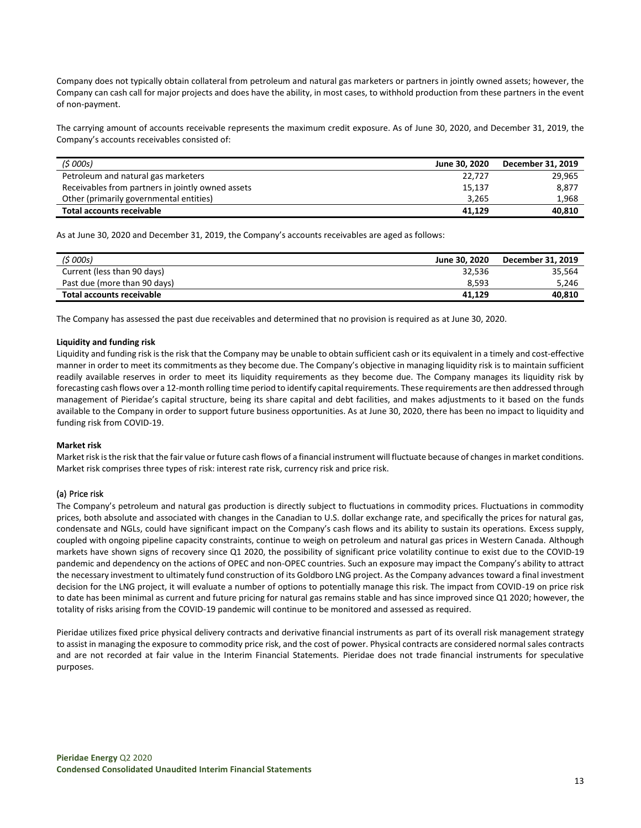Company does not typically obtain collateral from petroleum and natural gas marketers or partners in jointly owned assets; however, the Company can cash call for major projects and does have the ability, in most cases, to withhold production from these partners in the event of non-payment.

The carrying amount of accounts receivable represents the maximum credit exposure. As of June 30, 2020, and December 31, 2019, the Company's accounts receivables consisted of:

| (5000s)                                           | June 30. 2020 | December 31, 2019 |
|---------------------------------------------------|---------------|-------------------|
| Petroleum and natural gas marketers               | 22.727        | 29,965            |
| Receivables from partners in jointly owned assets | 15,137        | 8,877             |
| Other (primarily governmental entities)           | 3.265         | 1.968             |
| Total accounts receivable                         | 41.129        | 40,810            |

As at June 30, 2020 and December 31, 2019, the Company's accounts receivables are aged as follows:

| (\$ 000s)                    | June 30, 2020 | December 31, 2019 |
|------------------------------|---------------|-------------------|
| Current (less than 90 days)  | 32,536        | 35.564            |
| Past due (more than 90 days) | 8.593         | 5,246             |
| Total accounts receivable    | 41.129        | 40,810            |

The Company has assessed the past due receivables and determined that no provision is required as at June 30, 2020.

#### **Liquidity and funding risk**

Liquidity and funding risk is the risk that the Company may be unable to obtain sufficient cash or its equivalent in a timely and cost-effective manner in order to meet its commitments as they become due. The Company's objective in managing liquidity risk is to maintain sufficient readily available reserves in order to meet its liquidity requirements as they become due. The Company manages its liquidity risk by forecasting cash flows over a 12-month rolling time period to identify capital requirements. These requirements are then addressed through management of Pieridae's capital structure, being its share capital and debt facilities, and makes adjustments to it based on the funds available to the Company in order to support future business opportunities. As at June 30, 2020, there has been no impact to liquidity and funding risk from COVID-19.

#### **Market risk**

Market risk is the risk that the fair value or future cash flows of a financial instrument will fluctuate because of changes in market conditions. Market risk comprises three types of risk: interest rate risk, currency risk and price risk.

#### (a) Price risk

The Company's petroleum and natural gas production is directly subject to fluctuations in commodity prices. Fluctuations in commodity prices, both absolute and associated with changes in the Canadian to U.S. dollar exchange rate, and specifically the prices for natural gas, condensate and NGLs, could have significant impact on the Company's cash flows and its ability to sustain its operations. Excess supply, coupled with ongoing pipeline capacity constraints, continue to weigh on petroleum and natural gas prices in Western Canada. Although markets have shown signs of recovery since Q1 2020, the possibility of significant price volatility continue to exist due to the COVID-19 pandemic and dependency on the actions of OPEC and non-OPEC countries. Such an exposure may impact the Company's ability to attract the necessary investment to ultimately fund construction of its Goldboro LNG project. As the Company advances toward a final investment decision for the LNG project, it will evaluate a number of options to potentially manage this risk. The impact from COVID-19 on price risk to date has been minimal as current and future pricing for natural gas remains stable and has since improved since Q1 2020; however, the totality of risks arising from the COVID-19 pandemic will continue to be monitored and assessed as required.

Pieridae utilizes fixed price physical delivery contracts and derivative financial instruments as part of its overall risk management strategy to assist in managing the exposure to commodity price risk, and the cost of power. Physical contracts are considered normal sales contracts and are not recorded at fair value in the Interim Financial Statements. Pieridae does not trade financial instruments for speculative purposes.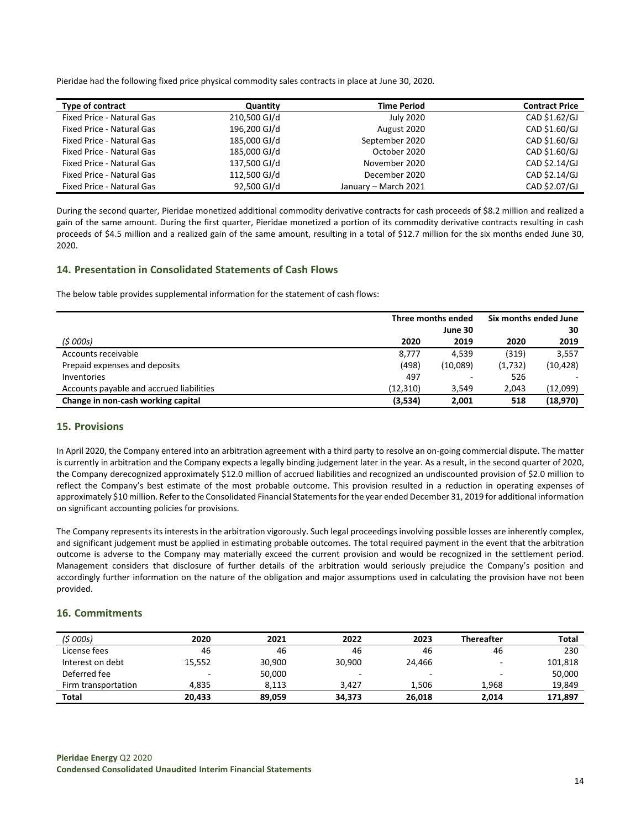Pieridae had the following fixed price physical commodity sales contracts in place at June 30, 2020.

| Type of contract                 | Quantity     | <b>Time Period</b>   | <b>Contract Price</b> |
|----------------------------------|--------------|----------------------|-----------------------|
| <b>Fixed Price - Natural Gas</b> | 210,500 GJ/d | July 2020            | CAD \$1.62/GJ         |
| Fixed Price - Natural Gas        | 196,200 GJ/d | August 2020          | CAD \$1.60/GJ         |
| Fixed Price - Natural Gas        | 185,000 GJ/d | September 2020       | CAD \$1.60/GJ         |
| <b>Fixed Price - Natural Gas</b> | 185,000 GJ/d | October 2020         | CAD \$1.60/GJ         |
| Fixed Price - Natural Gas        | 137,500 GJ/d | November 2020        | CAD \$2.14/GJ         |
| <b>Fixed Price - Natural Gas</b> | 112,500 GJ/d | December 2020        | CAD \$2.14/GJ         |
| <b>Fixed Price - Natural Gas</b> | 92,500 GJ/d  | January - March 2021 | CAD \$2.07/GJ         |

During the second quarter, Pieridae monetized additional commodity derivative contracts for cash proceeds of \$8.2 million and realized a gain of the same amount. During the first quarter, Pieridae monetized a portion of its commodity derivative contracts resulting in cash proceeds of \$4.5 million and a realized gain of the same amount, resulting in a total of \$12.7 million for the six months ended June 30, 2020.

## **14. Presentation in Consolidated Statements of Cash Flows**

The below table provides supplemental information for the statement of cash flows:

|                                          |           | Three months ended |         | Six months ended June |  |
|------------------------------------------|-----------|--------------------|---------|-----------------------|--|
|                                          |           | June 30            |         | 30                    |  |
| (5000s)                                  | 2020      | 2019               | 2020    | 2019                  |  |
| Accounts receivable                      | 8.777     | 4.539              | (319)   | 3.557                 |  |
| Prepaid expenses and deposits            | (498)     | (10,089)           | (1,732) | (10, 428)             |  |
| Inventories                              | 497       |                    | 526     |                       |  |
| Accounts payable and accrued liabilities | (12, 310) | 3.549              | 2,043   | (12,099)              |  |
| Change in non-cash working capital       | (3,534)   | 2.001              | 518     | (18,970)              |  |

## **15. Provisions**

In April 2020, the Company entered into an arbitration agreement with a third party to resolve an on-going commercial dispute. The matter is currently in arbitration and the Company expects a legally binding judgement later in the year. As a result, in the second quarter of 2020, the Company derecognized approximately \$12.0 million of accrued liabilities and recognized an undiscounted provision of \$2.0 million to reflect the Company's best estimate of the most probable outcome. This provision resulted in a reduction in operating expenses of approximately \$10 million. Refer to the Consolidated Financial Statements for the year ended December 31, 2019 for additional information on significant accounting policies for provisions.

The Company represents its interests in the arbitration vigorously. Such legal proceedings involving possible losses are inherently complex, and significant judgement must be applied in estimating probable outcomes. The total required payment in the event that the arbitration outcome is adverse to the Company may materially exceed the current provision and would be recognized in the settlement period. Management considers that disclosure of further details of the arbitration would seriously prejudice the Company's position and accordingly further information on the nature of the obligation and major assumptions used in calculating the provision have not been provided.

#### **16. Commitments**

| (\$ 000s)           | 2020                     | 2021   | 2022   | 2023   | <b>Thereafter</b> | Total   |
|---------------------|--------------------------|--------|--------|--------|-------------------|---------|
| License fees        | 46                       | 46     | 46     | 46     | 46                | 230     |
| Interest on debt    | 15,552                   | 30,900 | 30.900 | 24.466 |                   | 101,818 |
| Deferred fee        | $\overline{\phantom{0}}$ | 50,000 |        | -      |                   | 50,000  |
| Firm transportation | 4.835                    | 8.113  | 3.427  | 1.506  | 1.968             | 19,849  |
| Total               | 20.433                   | 89,059 | 34,373 | 26.018 | 2.014             | 171,897 |